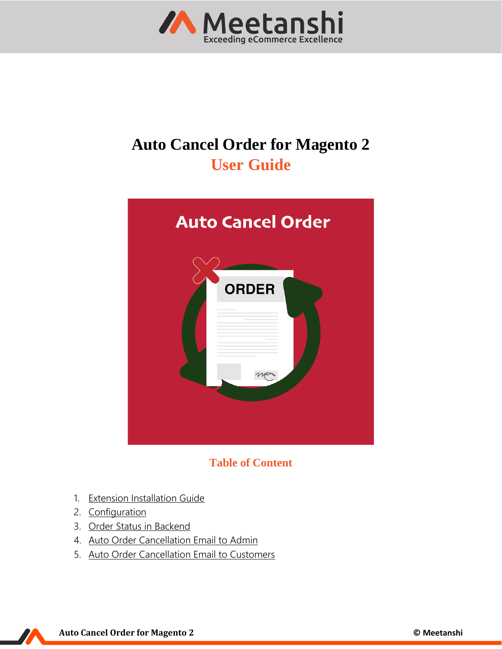

# **Auto Cancel Order for Magento 2 User Guide**



**Table of Content**

- 1. [Extension Installation Guide](#page-1-0)
- 2. [Configuration](#page-1-1)
- 3. [Order Status in Backend](#page-3-0)
- 4. [Auto Order Cancellation Email to Admin](#page-4-0)
- 5. [Auto Order Cancellation Email to Customers](#page-4-1)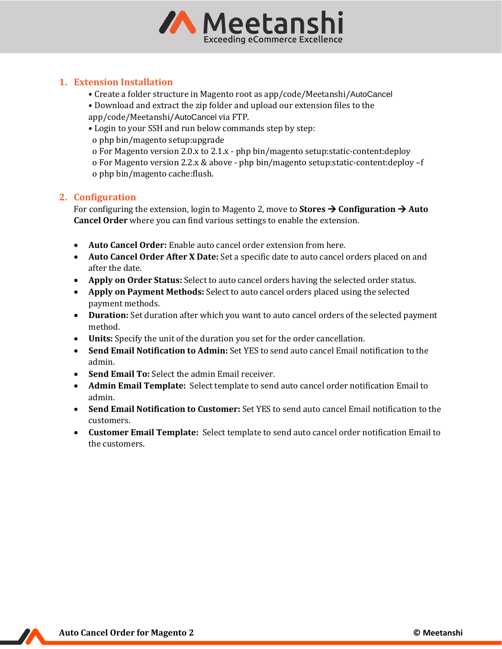

## <span id="page-1-0"></span>**1. Extension Installation**

- Create a folder structure in Magento root as app/code/Meetanshi/AutoCancel
- Download and extract the zip folder and upload our extension files to the app/code/Meetanshi/AutoCancel via FTP.
- Login to your SSH and run below commands step by step:
- o php bin/magento setup:upgrade

 o For Magento version 2.0.x to 2.1.x - php bin/magento setup:static-content:deploy o For Magento version 2.2.x & above - php bin/magento setup:static-content:deploy –f o php bin/magento cache:flush.

## <span id="page-1-1"></span>**2. Configuration**

For configuring the extension, login to Magento 2, move to **Stores** → **Configuration** → **Auto Cancel Order** where you can find various settings to enable the extension.

- **Auto Cancel Order:** Enable auto cancel order extension from here.
- **Auto Cancel Order After X Date:** Set a specific date to auto cancel orders placed on and after the date.
- **Apply on Order Status:** Select to auto cancel orders having the selected order status.
- **Apply on Payment Methods:** Select to auto cancel orders placed using the selected payment methods.
- **Duration:** Set duration after which you want to auto cancel orders of the selected payment method.
- **Units:** Specify the unit of the duration you set for the order cancellation.
- **Send Email Notification to Admin:** Set YES to send auto cancel Email notification to the admin.
- **Send Email To:** Select the admin Email receiver.
- **Admin Email Template:** Select template to send auto cancel order notification Email to admin.
- **Send Email Notification to Customer:** Set YES to send auto cancel Email notification to the customers.
- **Customer Email Template:** Select template to send auto cancel order notification Email to the customers.

**Auto Cancel Order for Magento 2 © Meetanshi**

 $\boldsymbol{Z}$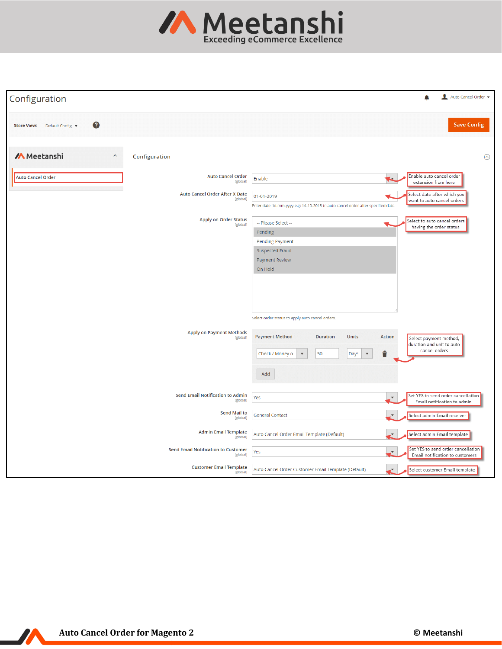

| Configuration                                                                           | Auto-Cancel-Order                                                                                                                                                                                                                                                                                                                                                                                                                                               |
|-----------------------------------------------------------------------------------------|-----------------------------------------------------------------------------------------------------------------------------------------------------------------------------------------------------------------------------------------------------------------------------------------------------------------------------------------------------------------------------------------------------------------------------------------------------------------|
| 0<br>Default Config v<br><b>Store View:</b>                                             | <b>Save Config</b>                                                                                                                                                                                                                                                                                                                                                                                                                                              |
| <b>M</b> Meetanshi<br>$\widehat{\phantom{a}}$<br>Configuration                          | $\odot$                                                                                                                                                                                                                                                                                                                                                                                                                                                         |
| <b>Auto Cancel Order</b><br><b>Auto Cancel Order</b><br>[global]                        | Enable auto cancel order<br>Enable<br>extension from here                                                                                                                                                                                                                                                                                                                                                                                                       |
| Auto Cancel Order After X Date<br>[global]                                              | Select date after which you<br>01-01-2019<br>want to auto cancel orders<br>Enter date dd-mm-yyyy e.g: 14-10-2018 to auto cancel order after specified date.                                                                                                                                                                                                                                                                                                     |
| <b>Apply on Order Status</b><br>[global]<br><b>Apply on Payment Methods</b><br>[global] | Select to auto cancel orders<br>-- Please Select --<br>having the order status<br>Pending<br><b>Pending Payment</b><br>Suspected Fraud<br><b>Payment Review</b><br>On Hold<br>Select order status to apply auto cancel orders.<br><b>Payment Method</b><br><b>Duration</b><br>Units<br>Action<br>Select payment method,<br>duration and unit to auto<br>cancel orders<br>û<br>50<br>Check / Money o<br>$\mathbf{v}$<br>Days<br>$\boldsymbol{\mathrm{v}}$<br>Add |
| Send Email Notification to Admin<br>[global]                                            | Set YES to send order cancellation<br>Yes<br>Email notification to admin                                                                                                                                                                                                                                                                                                                                                                                        |
| <b>Send Mail to</b><br>[global]                                                         | <b>General Contact</b><br>Select admin Email receiver                                                                                                                                                                                                                                                                                                                                                                                                           |
| <b>Admin Email Template</b><br>[global]                                                 | Auto Cancel Order Email Template (Default)<br>Select admin Email template<br>v.                                                                                                                                                                                                                                                                                                                                                                                 |
| <b>Send Email Notification to Customer</b><br>[global]                                  | Set YES to send order cancellation<br>Yes<br>Email notification to customers                                                                                                                                                                                                                                                                                                                                                                                    |
| <b>Customer Email Template</b><br>[global]                                              | Auto Cancel Order Customer Email Template (Default)<br>Select customer Email template<br>v,                                                                                                                                                                                                                                                                                                                                                                     |

 $\boldsymbol{M}$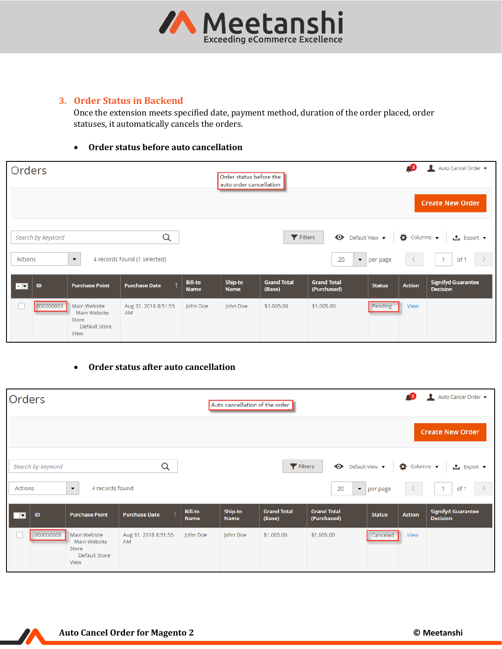

## <span id="page-3-0"></span>**3. Order Status in Backend**

Once the extension meets specified date, payment method, duration of the order placed, order statuses, it automatically cancels the orders.

#### • **Order status before auto cancellation**

| Orders                   |                   |                                                                |                                          |                        | Order status before the<br>auto order cancellation |                               |                                                                  |               | <b>13</b>     | Auto Cancel Order v<br><b>Create New Order</b>        |
|--------------------------|-------------------|----------------------------------------------------------------|------------------------------------------|------------------------|----------------------------------------------------|-------------------------------|------------------------------------------------------------------|---------------|---------------|-------------------------------------------------------|
| Actions                  | Search by keyword | $\blacktriangledown$                                           | $\alpha$<br>4 records found (1 selected) |                        |                                                    | $\blacktriangleright$ Filters | <b>O</b> Default View ▼ <b>☆</b> Columns ▼<br>20<br>$\mathbf{v}$ | per page      |               | ≛ Export ▼<br>$\rightarrow$<br>$\overline{1}$<br>of 1 |
| $\overline{\phantom{a}}$ | ID                | <b>Purchase Point</b>                                          | <b>Purchase Date</b>                     | <b>Bill-to</b><br>Name | Ship-to<br><b>Name</b>                             | <b>Grand Total</b><br>(Base)  | <b>Grand Total</b><br>(Purchased)                                | <b>Status</b> | <b>Action</b> | <b>Signifyd Guarantee</b><br><b>Decision</b>          |
| H.                       | 000000003         | Main Website<br>Main Website<br>Store<br>Default Store<br>View | Aug 31, 2018 8:51:55<br>AM               | John Doe               | John Doe                                           | \$1,005.00                    | \$1,005.00                                                       | Pending       | View          |                                                       |

### • **Order status after auto cancellation**

| Orders                                                                       |                                                                |                            |                               | Auto Cancel Order v<br>П<br><b>AB</b><br>Auto cancellation of the order |                              |                                   |               |                                                                                                  |                                              |  |
|------------------------------------------------------------------------------|----------------------------------------------------------------|----------------------------|-------------------------------|-------------------------------------------------------------------------|------------------------------|-----------------------------------|---------------|--------------------------------------------------------------------------------------------------|----------------------------------------------|--|
|                                                                              |                                                                |                            |                               |                                                                         |                              |                                   |               |                                                                                                  | <b>Create New Order</b>                      |  |
| Q<br>Search by keyword<br>4 records found<br>Actions<br>$\blacktriangledown$ |                                                                |                            |                               | Filters<br>$\blacktriangledown$<br>20<br>$\parallel$ per page           |                              |                                   |               | Default View v   $\bigcirc$ Columns v  <br>▲ Export ▼<br>$\rightarrow$<br>$\overline{1}$<br>of 1 |                                              |  |
| □▼<br>ID                                                                     | <b>Purchase Point</b>                                          | <b>Purchase Date</b>       | <b>Bill-to</b><br><b>Name</b> | Ship-to<br><b>Name</b>                                                  | <b>Grand Total</b><br>(Base) | <b>Grand Total</b><br>(Purchased) | <b>Status</b> | <b>Action</b>                                                                                    | <b>Signifyd Guarantee</b><br><b>Decision</b> |  |
| 000000003                                                                    | Main Website<br>Main Website<br>Store<br>Default Store<br>View | Aug 31, 2018 8:51:55<br>AM | John Doe                      | John Doe                                                                | \$1,005.00                   | \$1,005.00                        | Canceled      | View                                                                                             |                                              |  |

 $\boldsymbol{N}$